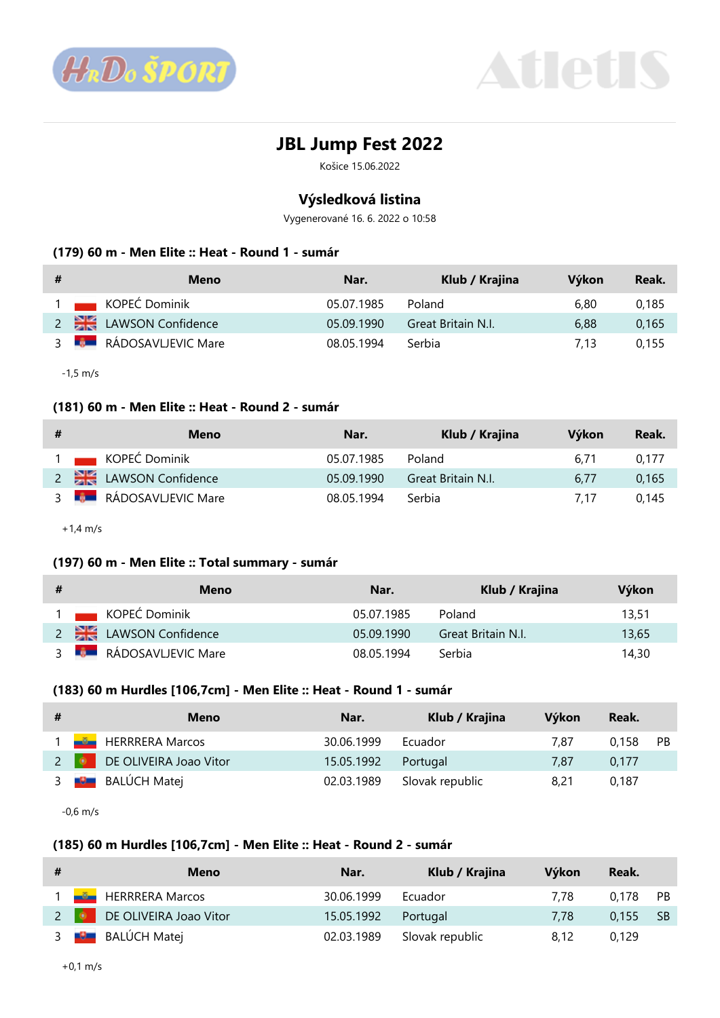



# **JBL Jump Fest 2022**

Košice 15.06.2022

# **Výsledková listina**

Vygenerované 16. 6. 2022 o 10:58

#### **(179) 60 m - Men Elite :: Heat - Round 1 - sumár**

| # | Meno                              | Nar.       | Klub / Krajina     | Výkon | Reak. |
|---|-----------------------------------|------------|--------------------|-------|-------|
|   | 1 KOPEĆ Dominik                   | 05.07.1985 | Poland             | 6.80  | 0.185 |
|   | 2 LAWSON Confidence               | 05.09.1990 | Great Britain N.I. | 6.88  | 0.165 |
|   | 3 <b>BEARN RÁDOSAVLIEVIC Mare</b> | 08.05.1994 | .Serbia            | 7.13  | 0.155 |

-1,5 m/s

### **(181) 60 m - Men Elite :: Heat - Round 2 - sumár**

| # | Meno                            | Nar.       | Klub / Krajina     | Výkon | Reak. |
|---|---------------------------------|------------|--------------------|-------|-------|
|   | 1 KOPEĆ Dominik                 | 05.07.1985 | Poland             | 6.71  | 0.177 |
|   | 2 <b>LAWSON</b> Confidence      | 05.09.1990 | Great Britain N.I. | 6.77  | 0.165 |
|   | 3 <b>BEE</b> RÁDOSAVLJEVIC Mare | 08.05.1994 | .Serbia            | 7.17  | 0.145 |

+1,4 m/s

### **(197) 60 m - Men Elite :: Total summary - sumár**

| # | Meno                       | Nar.       | Klub / Krajina     | Výkon |
|---|----------------------------|------------|--------------------|-------|
|   | 1 KOPEĆ Dominik            | 05.07.1985 | Poland             | 13.51 |
|   | 2 <b>LAWSON</b> Confidence | 05.09.1990 | Great Britain N.I. | 13.65 |
|   | 3 RÁDOSAVLJEVIC Mare       | 08.05.1994 | Serbia             | 14,30 |

#### **(183) 60 m Hurdles [106,7cm] - Men Elite :: Heat - Round 1 - sumár**

| # | Meno                          | Nar.       | Klub / Krajina  | Výkon | Reak.    |  |
|---|-------------------------------|------------|-----------------|-------|----------|--|
|   | 1 <b>July HERRRERA</b> Marcos | 30.06.1999 | Ecuador         | 7.87  | 0,158 PB |  |
|   | 2 DE OLIVEIRA Joao Vitor      | 15.05.1992 | Portugal        | 7.87  | 0.177    |  |
|   | 3 <b>B</b> BALÚCH Matej       | 02.03.1989 | Slovak republic | 8,21  | 0.187    |  |

-0,6 m/s

### **(185) 60 m Hurdles [106,7cm] - Men Elite :: Heat - Round 2 - sumár**

| # | Meno                           | Nar.       | Klub / Krajina  | Výkon | Reak.    |      |
|---|--------------------------------|------------|-----------------|-------|----------|------|
|   | 1 <b>Julie HERRRERA</b> Marcos | 30.06.1999 | Ecuador         | 7.78  | 0.178    | - PB |
|   | 2 DE OLIVEIRA Joao Vitor       | 15.05.1992 | Portugal        | 7.78  | 0.155 SB |      |
|   | 3 BALÚCH Matej                 | 02.03.1989 | Slovak republic | 8.12  | 0.129    |      |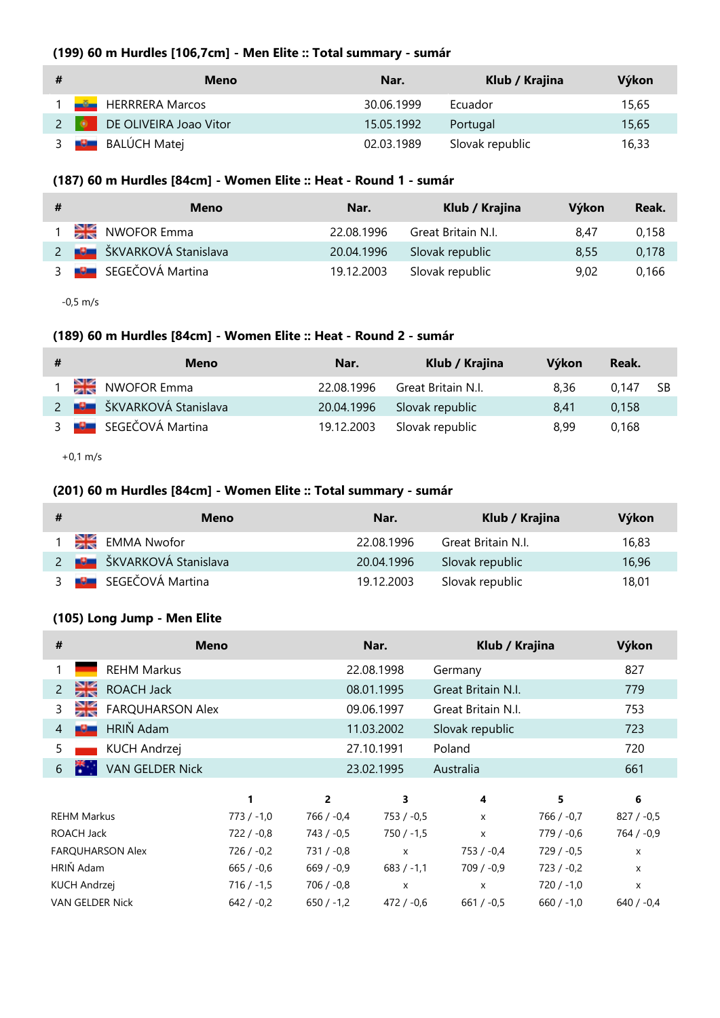## **(199) 60 m Hurdles [106,7cm] - Men Elite :: Total summary - sumár**

| # | Meno                            | Nar.       | Klub / Krajina  | Výkon |
|---|---------------------------------|------------|-----------------|-------|
|   | 1 <b>Manuel HERRRERA</b> Marcos | 30.06.1999 | Ecuador         | 15,65 |
|   | 2 <b>DE OLIVEIRA Joao Vitor</b> | 15.05.1992 | Portugal        | 15,65 |
|   | 3 <b>B</b> BALÚCH Matej         | 02.03.1989 | Slovak republic | 16,33 |

### **(187) 60 m Hurdles [84cm] - Women Elite :: Heat - Round 1 - sumár**

| # | Meno                              | Nar.       | Klub / Krajina     | Výkon | Reak. |
|---|-----------------------------------|------------|--------------------|-------|-------|
|   | 1 NWOFOR Emma                     | 22.08.1996 | Great Britain N.I. | 8.47  | 0.158 |
|   | 2 <b>BEZ</b> ŠKVARKOVÁ Stanislava | 20.04.1996 | Slovak republic    | 8.55  | 0,178 |
|   | 3 <b>B</b> SEGEČOVÁ Martina       | 19.12.2003 | Slovak republic    | 9.02  | 0.166 |

-0,5 m/s

### **(189) 60 m Hurdles [84cm] - Women Elite :: Heat - Round 2 - sumár**

| # | Meno                             | Nar.       | Klub / Krajina     | Výkon | Reak.    |  |
|---|----------------------------------|------------|--------------------|-------|----------|--|
|   | NWOFOR Emma                      | 22.08.1996 | Great Britain N.I. | 8.36  | 0.147 SB |  |
|   | 2 <b>BU ŠKVARKOVÁ Stanislava</b> | 20.04.1996 | Slovak republic    | 8.41  | 0.158    |  |
|   | 3 <b>B</b> SEGEČOVÁ Martina      | 19.12.2003 | Slovak republic    | 8.99  | 0.168    |  |

+0,1 m/s

### **(201) 60 m Hurdles [84cm] - Women Elite :: Total summary - sumár**

| # | Meno                             | Nar.       | Klub / Krajina     | Výkon |
|---|----------------------------------|------------|--------------------|-------|
|   | <b>EMMA Nwofor</b>               | 22.08.1996 | Great Britain N.I. | 16,83 |
|   | 2 <b>BU ŠKVARKOVÁ Stanislava</b> | 20.04.1996 | Slovak republic    | 16.96 |
|   | 3 <b>BE SEGEČOVÁ Martina</b>     | 19.12.2003 | Slovak republic    | 18,01 |

### **(105) Long Jump - Men Elite**

| #              |                     | <b>Meno</b>             |              |                | Nar.         | Klub / Krajina            |              | Výkon        |
|----------------|---------------------|-------------------------|--------------|----------------|--------------|---------------------------|--------------|--------------|
| 1              |                     | <b>REHM Markus</b>      |              |                | 22.08.1998   | Germany                   |              | 827          |
| $\overline{2}$ | ≵≲                  | <b>ROACH Jack</b>       |              |                | 08.01.1995   | Great Britain N.I.        |              | 779          |
| 3              |                     | <b>FARQUHARSON Alex</b> |              |                | 09.06.1997   | Great Britain N.I.        |              | 753          |
| 4              | <b>RANGE</b>        | HRIŇ Adam               |              |                | 11.03.2002   | Slovak republic           |              | 723          |
| 5              |                     | <b>KUCH Andrzej</b>     |              |                | 27.10.1991   | Poland                    |              | 720          |
| 6              |                     | <b>VAN GELDER Nick</b>  |              |                | 23.02.1995   | Australia                 |              | 661          |
|                |                     |                         | 1            | $\overline{2}$ | 3            | 4                         | 5            | 6            |
|                | <b>REHM Markus</b>  |                         | $773 / -1.0$ | 766 / -0,4     | $753 / -0.5$ | X                         | $766 / -0.7$ | $827 / -0.5$ |
|                | ROACH Jack          |                         | $722 / -0.8$ | $743 / -0.5$   | $750 / -1,5$ | $\boldsymbol{\mathsf{x}}$ | 779 / -0,6   | $764 / -0.9$ |
|                |                     | <b>FARQUHARSON Alex</b> | $726 / -0.2$ | $731 / -0.8$   | X            | 753 / -0,4                | $729/ -0.5$  | X            |
|                | HRIŇ Adam           |                         | $665 / -0.6$ | $669 / -0.9$   | $683 / -1,1$ | $709 / -0.9$              | $723 / -0.2$ | $\mathsf{x}$ |
|                | <b>KUCH Andrzej</b> |                         | $716 / -1,5$ | $706 / -0.8$   | X            | X                         | $720 / -1.0$ | x            |
|                |                     | <b>VAN GELDER Nick</b>  | $642 / -0.2$ | $650 / -1,2$   | $472 / -0.6$ | $661 / -0.5$              | $660 / -1.0$ | $640 / -0.4$ |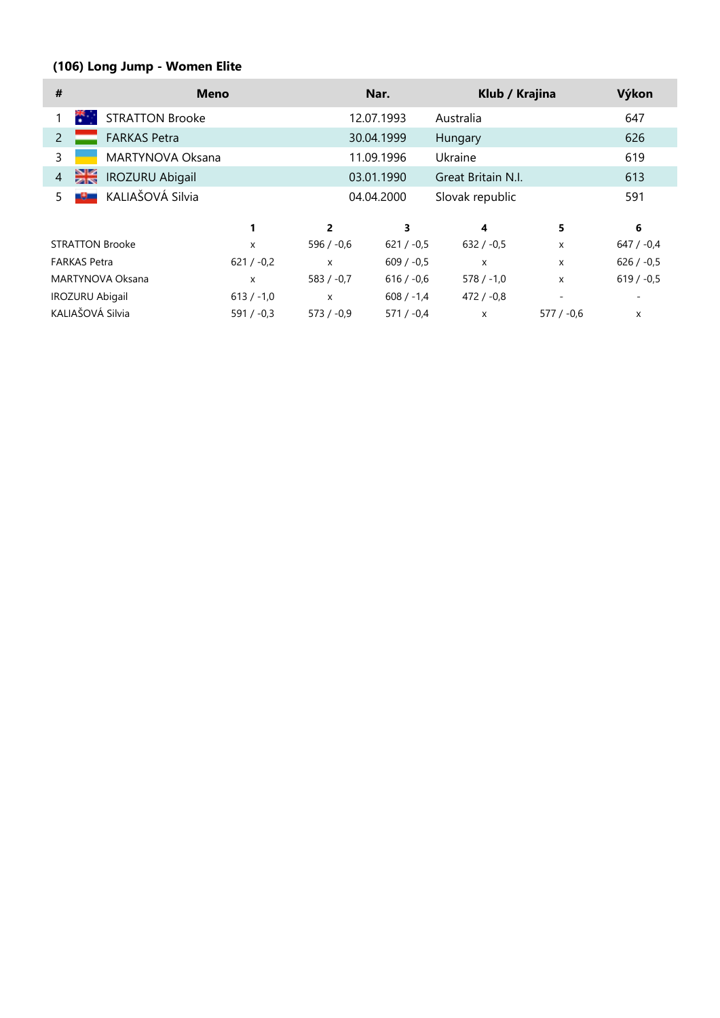# **(106) Long Jump - Women Elite**

| #                   | <b>Meno</b>             |              |                           | Nar.         | Klub / Krajina     |             | Výkon        |
|---------------------|-------------------------|--------------|---------------------------|--------------|--------------------|-------------|--------------|
| m.                  | <b>STRATTON Brooke</b>  |              |                           | 12.07.1993   | Australia          |             | 647          |
| $\overline{2}$      | <b>FARKAS Petra</b>     |              |                           | 30.04.1999   | Hungary            |             | 626          |
| 3                   | MARTYNOVA Oksana        |              |                           | 11.09.1996   | Ukraine            |             | 619          |
| $\overline{4}$      | <b>IROZURU Abigail</b>  |              |                           | 03.01.1990   | Great Britain N.I. |             | 613          |
| 5                   | KALIAŠOVÁ Silvia<br>-9- |              |                           | 04.04.2000   | Slovak republic    |             | 591          |
|                     |                         |              | $\overline{2}$            | 3            | 4                  | 5           | 6            |
|                     | <b>STRATTON Brooke</b>  | X            | $596 / -0.6$              | $621 / -0.5$ | $632 / -0.5$       | X           | $647 / -0.4$ |
| <b>FARKAS Petra</b> |                         | $621 / -0.2$ | $\boldsymbol{\mathsf{x}}$ | $609 / -0.5$ | X                  | X           | $626 / -0.5$ |
|                     | MARTYNOVA Oksana        | X            | $583 / -0.7$              | $616 / -0.6$ | $578 / -1.0$       | X           | $619 / -0.5$ |
|                     | <b>IROZURU Abigail</b>  | $613 / -1,0$ | $\boldsymbol{\mathsf{x}}$ | $608 / -1.4$ | $472 / -0.8$       |             |              |
|                     | KALIAŠOVÁ Silvia        | $591 / -0.3$ | $573 / -0.9$              | $571 / -0.4$ | X                  | $577/ -0.6$ | X            |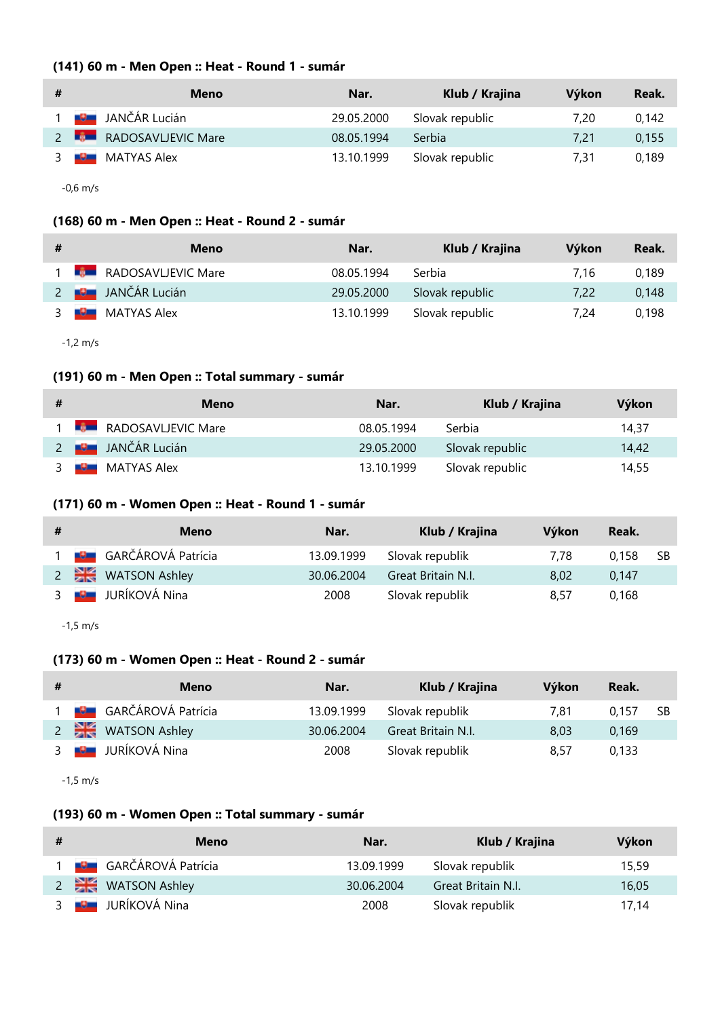# **(141) 60 m - Men Open :: Heat - Round 1 - sumár**

| # | Meno                        | Nar.       | Klub / Krajina  | Výkon | Reak. |
|---|-----------------------------|------------|-----------------|-------|-------|
|   | <b>DE L</b> IJANČÁR Lucián  | 29.05.2000 | Slovak republic | 7.20  | 0.142 |
|   | 2 <b>RADOSAVLIEVIC Mare</b> | 08.05.1994 | Serbia          | 7.21  | 0,155 |
|   | <b>MATYAS Alex</b><br>-9-   | 13.10.1999 | Slovak republic | 7.31  | 0.189 |
|   |                             |            |                 |       |       |

-0,6 m/s

# **(168) 60 m - Men Open :: Heat - Round 2 - sumár**

| # | Meno                            | Nar.       | Klub / Krajina  | Výkon | Reak. |
|---|---------------------------------|------------|-----------------|-------|-------|
|   | 1 <b>BEE</b> RADOSAVLJEVIC Mare | 08.05.1994 | Serbia          | 7.16  | 0.189 |
|   | 2 <b>BE</b> JANČÁR Lucián       | 29.05.2000 | Slovak republic | 7.22  | 0.148 |
|   | 3 <b>B</b> MATYAS Alex          | 13.10.1999 | Slovak republic | 7.24  | 0.198 |

-1,2 m/s

# **(191) 60 m - Men Open :: Total summary - sumár**

| # | Meno                        | Nar.       | Klub / Krajina  | Výkon |
|---|-----------------------------|------------|-----------------|-------|
|   | 1 <b>RADOSAVLIEVIC Mare</b> | 08.05.1994 | Serbia          | 14.37 |
|   | 2 <b>B</b> JANČÁR Lucián    | 29.05.2000 | Slovak republic | 14.42 |
|   | 3 <b>B</b> MATYAS Alex      | 13.10.1999 | Slovak republic | 14,55 |

## **(171) 60 m - Women Open :: Heat - Round 1 - sumár**

| # | Meno                           | Nar.       | Klub / Krajina     | Výkon | Reak. |      |
|---|--------------------------------|------------|--------------------|-------|-------|------|
|   | 1 <b>BL</b> GARČÁROVÁ Patrícia | 13.09.1999 | Slovak republik    | 7.78  | 0.158 | - SB |
|   | 2 WATSON Ashley                | 30.06.2004 | Great Britain N.I. | 8.02  | 0.147 |      |
|   | 3 <b>B</b> JURÍKOVÁ Nina       | 2008       | Slovak republik    | 8.57  | 0.168 |      |

-1,5 m/s

### **(173) 60 m - Women Open :: Heat - Round 2 - sumár**

| # | <b>Meno</b>                   | Nar.       | Klub / Krajina     | Výkon | Reak.        |
|---|-------------------------------|------------|--------------------|-------|--------------|
|   | <b>BEL</b> GARČÁROVÁ Patrícia | 13.09.1999 | Slovak republik    | 7.81  | 0.157<br>-SB |
|   | 2 WATSON Ashley               | 30.06.2004 | Great Britain N.I. | 8.03  | 0.169        |
|   | 3 <b>B</b> JURÍKOVÁ Nina      | 2008       | Slovak republik    | 8.57  | 0.133        |

-1,5 m/s

# **(193) 60 m - Women Open :: Total summary - sumár**

| # | Meno                          | Nar.       | Klub / Krajina     | Výkon |
|---|-------------------------------|------------|--------------------|-------|
|   | <b>ELE</b> GARČÁROVÁ Patrícia | 13.09.1999 | Slovak republik    | 15,59 |
|   | 2 WATSON Ashley               | 30.06.2004 | Great Britain N.I. | 16,05 |
|   | <b>Po</b> JURÍKOVÁ Nina       | 2008       | Slovak republik    | 17.14 |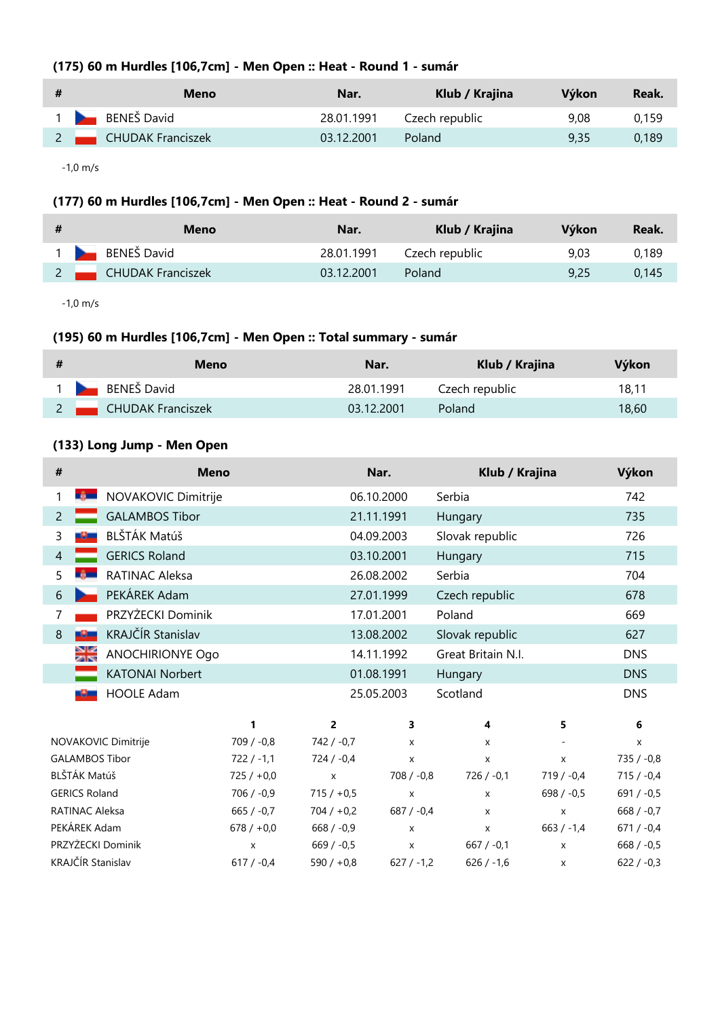# **(175) 60 m Hurdles [106,7cm] - Men Open :: Heat - Round 1 - sumár**

| # | Meno                | Nar.       | Klub / Krajina | Výkon | Reak. |
|---|---------------------|------------|----------------|-------|-------|
|   | 1 BENEŠ David       | 28.01.1991 | Czech republic | 9.08  | 0.159 |
|   | 2 CHUDAK Franciszek | 03.12.2001 | Poland         | 9.35  | 0.189 |

-1,0 m/s

# **(177) 60 m Hurdles [106,7cm] - Men Open :: Heat - Round 2 - sumár**

| # | Meno                       | Nar.       | Klub / Krajina            | Výkon | Reak. |
|---|----------------------------|------------|---------------------------|-------|-------|
|   | 1 BENEŠ David              |            | 28.01.1991 Czech republic | 9.03  | 0.189 |
|   | 2 <b>CHUDAK Franciszek</b> | 03.12.2001 | Poland                    | 9.25  | 0.145 |

-1,0 m/s

# **(195) 60 m Hurdles [106,7cm] - Men Open :: Total summary - sumár**

| # | Meno                       | Nar.       | Klub / Krajina | Výkon |
|---|----------------------------|------------|----------------|-------|
|   | 1 BENEŠ David              | 28.01.1991 | Czech republic | 18.11 |
|   | 2 <b>CHUDAK Franciszek</b> | 03.12.2001 | Poland         | 18.60 |

# **(133) Long Jump - Men Open**

| #              |                       | <b>Meno</b>             |              |              | Nar.               | Klub / Krajina     |                    | Výkon        |
|----------------|-----------------------|-------------------------|--------------|--------------|--------------------|--------------------|--------------------|--------------|
| 1              | <b>TABLE</b>          | NOVAKOVIC Dimitrije     |              |              | 06.10.2000         | Serbia             |                    | 742          |
| $\overline{2}$ |                       | <b>GALAMBOS Tibor</b>   |              |              | 21.11.1991         | Hungary            |                    | 735          |
| 3              | -9-                   | BLŠTÁK Matúš            |              |              | 04.09.2003         | Slovak republic    |                    | 726          |
| $\overline{4}$ |                       | <b>GERICS Roland</b>    |              |              | 03.10.2001         | Hungary            |                    | 715          |
| 5              | -6 -                  | RATINAC Aleksa          |              |              | 26.08.2002         | Serbia             |                    | 704          |
| 6              |                       | PEKÁREK Adam            |              |              | 27.01.1999         | Czech republic     |                    | 678          |
| 7              |                       | PRZYŻECKI Dominik       |              |              | 17.01.2001         | Poland             |                    | 669          |
| 8              | -9-                   | KRAJČÍR Stanislav       |              |              | 13.08.2002         | Slovak republic    |                    | 627          |
|                | ≫∝                    | <b>ANOCHIRIONYE Ogo</b> |              |              | 14.11.1992         | Great Britain N.I. |                    | <b>DNS</b>   |
|                |                       | <b>KATONAI Norbert</b>  |              |              | 01.08.1991         | Hungary            |                    | <b>DNS</b>   |
|                | -9-                   | <b>HOOLE Adam</b>       |              |              | 25.05.2003         | Scotland           |                    | <b>DNS</b>   |
|                |                       |                         | 1            | 2            | 3                  | 4                  | 5                  | 6            |
|                |                       | NOVAKOVIC Dimitrije     | $709 / -0.8$ | $742 / -0.7$ | $\mathsf{x}$       | $\mathsf{x}$       |                    | X            |
|                |                       | <b>GALAMBOS Tibor</b>   | $722 / -1,1$ | 724 / -0,4   | $\pmb{\mathsf{X}}$ | X                  | $\pmb{\mathsf{X}}$ | $735 / -0.8$ |
|                | BLŠTÁK Matúš          |                         | $725/ +0.0$  | $\mathsf X$  | $708 / -0.8$       | $726 / -0.1$       | $719 / -0.4$       | $715 / -0.4$ |
|                | <b>GERICS Roland</b>  |                         | $706 / -0.9$ | $715 / +0.5$ | $\pmb{\mathsf{X}}$ | $\mathsf{x}$       | $698 / -0.5$       | $691 / -0.5$ |
|                | <b>RATINAC Aleksa</b> |                         | $665 / -0.7$ | $704 / +0.2$ | $687 / -0.4$       | $\pmb{\chi}$       | $\mathsf{x}$       | 668 $/ -0.7$ |
|                | PEKÁREK Adam          |                         | $678 / +0.0$ | $668 / -0.9$ | $\pmb{\mathsf{X}}$ | $\pmb{\mathsf{X}}$ | $663 / -1.4$       | $671 / -0.4$ |
|                |                       | PRZYŻECKI Dominik       | X            | $669 / -0.5$ | $\pmb{\chi}$       | $667 / -0.1$       | X                  | $668 / -0.5$ |
|                |                       | KRAJČÍR Stanislav       | $617 / -0.4$ | $590 / +0.8$ | $627 / -1.2$       | $626 / -1,6$       | X                  | $622 / -0.3$ |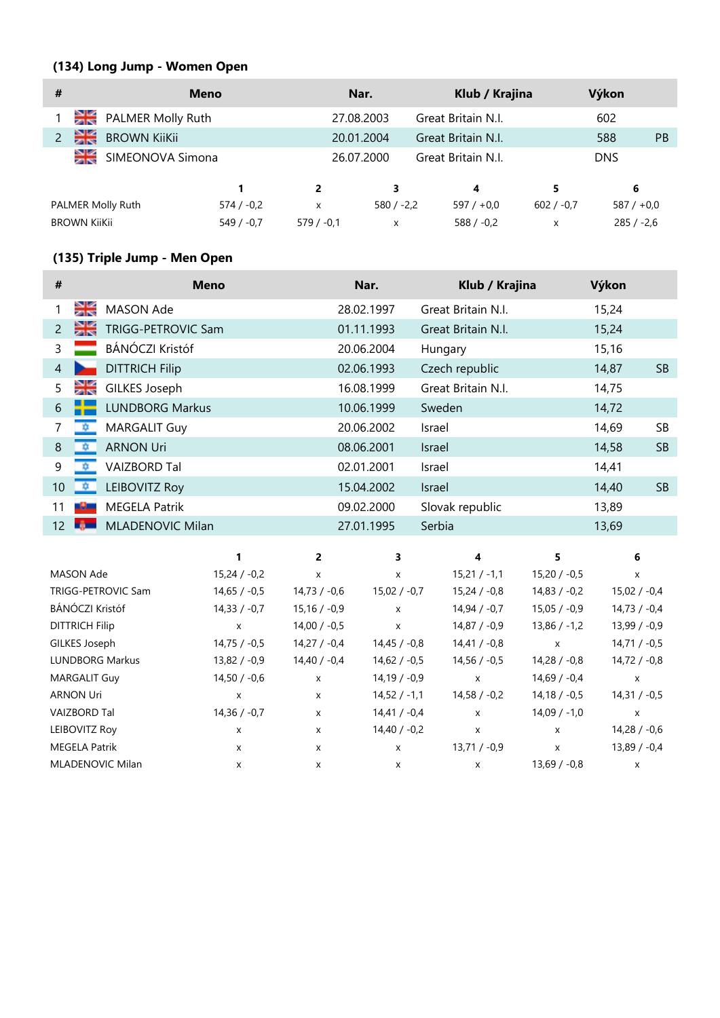# **(134) Long Jump - Women Open**

| #                   |                     | <b>Meno</b>  |             | Nar.         | Klub / Krajina     |              | Výkon        |           |
|---------------------|---------------------|--------------|-------------|--------------|--------------------|--------------|--------------|-----------|
|                     | PALMER Molly Ruth   |              |             | 27.08.2003   | Great Britain N.I. |              | 602          |           |
|                     | <b>BROWN KiiKii</b> |              |             | 20.01.2004   | Great Britain N.I. |              | 588          | <b>PB</b> |
| ≫i≪<br>21           | SIMEONOVA Simona    |              |             | 26.07.2000   | Great Britain N.I. |              | <b>DNS</b>   |           |
|                     |                     |              | 2           | 3            | 4                  | 5            | 6            |           |
|                     | PALMER Molly Ruth   | $574 / -0.2$ | x           | $580 / -2.2$ | $597/+0.0$         | $602 / -0.7$ | $587/+0.0$   |           |
| <b>BROWN KijKji</b> |                     | $549/ -0.7$  | $579/ -0.1$ | X            | $588 / -0.2$       | X            | $285 / -2.6$ |           |

# **(135) Triple Jump - Men Open**

| #               |            | <b>Meno</b>             | Nar.       | Klub / Krajina     | Výkon |           |
|-----------------|------------|-------------------------|------------|--------------------|-------|-----------|
|                 | মুত্র<br>ব | MASON Ade               | 28.02.1997 | Great Britain N.I. | 15,24 |           |
| 2               | D¥         | TRIGG-PETROVIC Sam      | 01.11.1993 | Great Britain N.I. | 15,24 |           |
| 3               |            | <b>BÁNÓCZI Kristóf</b>  | 20.06.2004 | Hungary            | 15,16 |           |
| $\overline{4}$  |            | <b>DITTRICH Filip</b>   | 02.06.1993 | Czech republic     | 14,87 | <b>SB</b> |
| 5               | ≫≲         | GILKES Joseph           | 16.08.1999 | Great Britain N.I. | 14,75 |           |
| 6               |            | <b>LUNDBORG Markus</b>  | 10.06.1999 | Sweden             | 14,72 |           |
| 7               | 草          | <b>MARGALIT Guy</b>     | 20.06.2002 | Israel             | 14,69 | <b>SB</b> |
| 8               | 99.9€      | <b>ARNON Uri</b>        | 08.06.2001 | Israel             | 14,58 | <b>SB</b> |
| 9               |            | <b>VAIZBORD Tal</b>     | 02.01.2001 | Israel             | 14,41 |           |
| 10 <sup>°</sup> | 心中。        | <b>LEIBOVITZ Roy</b>    | 15.04.2002 | Israel             | 14,40 | <b>SB</b> |
| 11              | -9-        | <b>MEGELA Patrik</b>    | 09.02.2000 | Slovak republic    | 13,89 |           |
| 12              | - 69       | <b>MLADENOVIC Milan</b> | 27.01.1995 | Serbia             | 13,69 |           |

|                        |                | 2              | 3                         |                | 5.             | 6                         |
|------------------------|----------------|----------------|---------------------------|----------------|----------------|---------------------------|
| MASON Ade              | $15,24 / -0,2$ | X              | X                         | $15,21/ -1,1$  | $15,20/ -0,5$  | X                         |
| TRIGG-PETROVIC Sam     | $14,65/ -0.5$  | $14,73/ -0.6$  | $15,02 / -0,7$            | $15,24 / -0.8$ | $14,83 / -0.2$ | $15,02 / -0,4$            |
| BÁNÓCZI Kristóf        | $14,33 / -0.7$ | $15,16/ -0.9$  | $\boldsymbol{\mathsf{x}}$ | $14,94 / -0.7$ | $15,05 / -0.9$ | $14,73 / -0.4$            |
| <b>DITTRICH Filip</b>  | X              | $14,00 / -0.5$ | X                         | $14,87/ -0.9$  | $13,86 / -1,2$ | $13,99 / -0,9$            |
| GILKES Joseph          | $14,75/ -0.5$  | $14,27/ -0.4$  | $14,45/ -0.8$             | $14,41 / -0.8$ | X              | $14,71/ -0.5$             |
| <b>LUNDBORG Markus</b> | 13,82 / -0,9   | $14,40 / -0,4$ | $14,62 / -0,5$            | $14,56 / -0,5$ | $14,28 / -0.8$ | $14,72 / -0,8$            |
| <b>MARGALIT Guy</b>    | $14,50 / -0.6$ | X              | $14,19/ -0.9$             | X              | $14,69 / -0.4$ | X                         |
| <b>ARNON Uri</b>       | X              | X              | $14,52 / -1,1$            | $14,58 / -0.2$ | $14,18/ -0.5$  | $14,31 / -0.5$            |
| <b>VAIZBORD Tal</b>    | $14,36 / -0.7$ | X              | $14,41 / -0,4$            | x              | $14,09/ -1,0$  | $\boldsymbol{\mathsf{x}}$ |
| LEIBOVITZ Roy          | X              | X              | $14,40 / -0,2$            | X              | X              | $14,28 / -0,6$            |
| <b>MEGELA Patrik</b>   | X              | X              | X                         | $13,71/ -0.9$  | X              | $13,89 / -0.4$            |
| MLADENOVIC Milan       | X              | X              | X                         | X              | $13,69/ -0.8$  | X                         |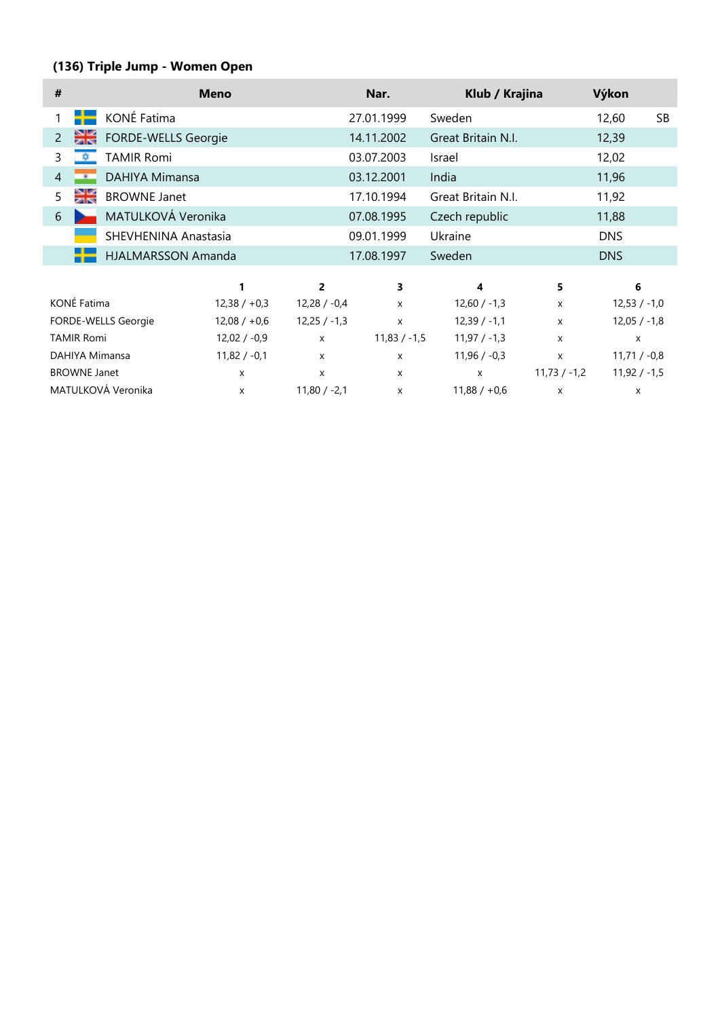# **(136) Triple Jump - Women Open**

| #                                |                                    | <b>Meno</b>                    |                   | Nar.           | Klub / Krajina     |                | Výkon                     |           |
|----------------------------------|------------------------------------|--------------------------------|-------------------|----------------|--------------------|----------------|---------------------------|-----------|
|                                  | KONÉ Fatima                        |                                |                   | 27.01.1999     | Sweden             |                | 12,60                     | <b>SB</b> |
| 2                                | Dk<br>FORDE-WELLS Georgie          |                                |                   | 14.11.2002     | Great Britain N.I. |                | 12,39                     |           |
| 3                                | <b>TAMIR Romi</b>                  |                                |                   | 03.07.2003     | Israel             |                | 12,02                     |           |
| $\overline{4}$                   | <b>DAHIYA Mimansa</b><br>-         |                                |                   | 03.12.2001     | India              |                | 11,96                     |           |
| 5                                | ≫ik<br>Ziro<br><b>BROWNE Janet</b> |                                |                   | 17.10.1994     | Great Britain N.I. |                | 11,92                     |           |
| 6                                | MATULKOVÁ Veronika                 |                                |                   | 07.08.1995     | Czech republic     |                | 11,88                     |           |
|                                  | SHEVHENINA Anastasia               |                                |                   | 09.01.1999     | Ukraine            |                | <b>DNS</b>                |           |
|                                  | <b>HJALMARSSON Amanda</b>          |                                |                   | 17.08.1997     | Sweden             |                | <b>DNS</b>                |           |
|                                  |                                    | 1                              | $\overline{2}$    | 3              | 4                  | 5              | 6                         |           |
|                                  | KONÉ Fatima                        | $12,38 / +0,3$                 | $12,28 / -0,4$    | $\mathsf{x}$   | $12,60 / -1,3$     | $\mathsf{x}$   | $12,53 / -1,0$            |           |
|                                  | FORDE-WELLS Georgie                | $12,08 / +0,6$                 | $12,25/ -1,3$     | $\mathsf{x}$   | $12,39/ -1,1$      | $\mathsf{x}$   | $12,05 / -1,8$            |           |
|                                  | <b>TAMIR Romi</b>                  | $12,02 / -0,9$                 | X                 | $11,83 / -1,5$ | $11,97 / -1,3$     | $\mathsf{x}$   | $\boldsymbol{\mathsf{x}}$ |           |
| $11,82 / -0,1$<br>DAHIYA Mimansa |                                    | X<br>$\boldsymbol{\mathsf{x}}$ |                   | $11,96 / -0,3$ | $\mathsf{x}$       | $11,71 / -0,8$ |                           |           |
|                                  | <b>BROWNE Janet</b>                | X                              | X<br>$\mathsf{x}$ |                | $\mathsf{x}$       | $11,73 / -1,2$ | $11,92 / -1,5$            |           |
|                                  | MATULKOVÁ Veronika                 | X                              | $11,80 / -2,1$    | X              | $11,88 / +0,6$     | X              | X                         |           |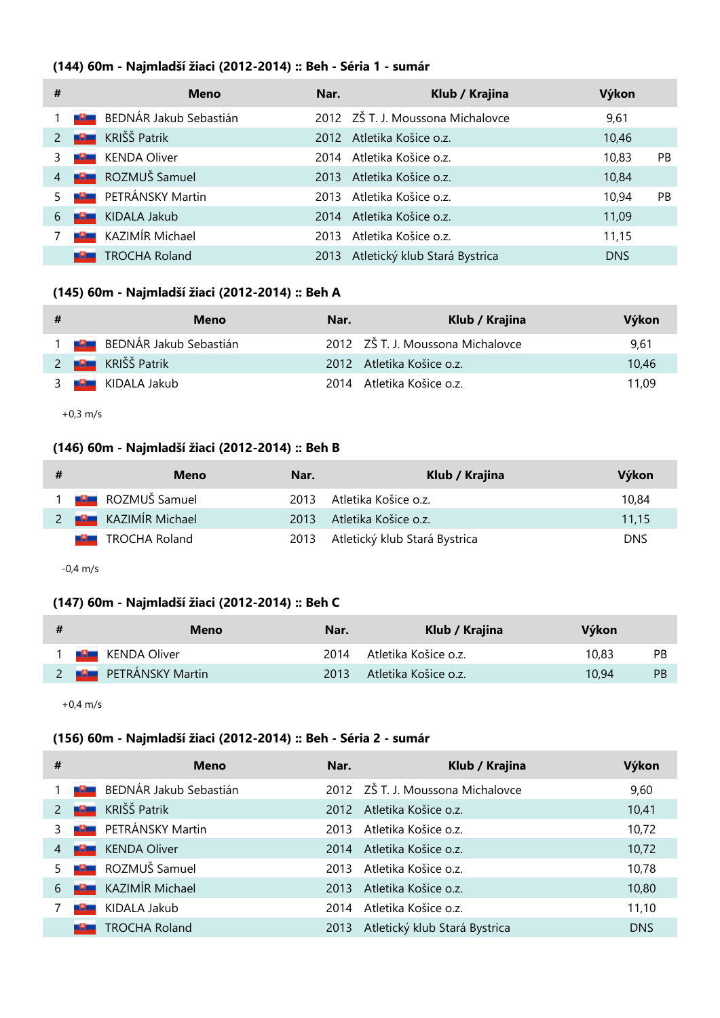### **(144) 60m - Najmladší žiaci (2012-2014) :: Beh - Séria 1 - sumár**

| #              |                   | <b>Meno</b>            | Nar. | Klub / Krajina                    | Výkon      |           |
|----------------|-------------------|------------------------|------|-----------------------------------|------------|-----------|
|                |                   | BEDNÁR Jakub Sebastián |      | 2012 ZŠ T. J. Moussona Michalovce | 9,61       |           |
|                | <b>COMPUTER</b>   | KRIŠŠ Patrik           |      | 2012 Atletika Košice o.z.         | 10,46      |           |
|                |                   | <b>KENDA Oliver</b>    |      | 2014 Atletika Košice o.z.         | 10,83      | PB.       |
| $\overline{4}$ | <b>POST</b>       | ROZMUŠ Samuel          |      | 2013 Atletika Košice o.z.         | 10,84      |           |
| 5              | <u> De la</u>     | PETRÁNSKY Martin       |      | 2013 Atletika Košice o z          | 10.94      | <b>PB</b> |
| 6              | <b>The Column</b> | KIDALA Jakub           |      | 2014 Atletika Košice o.z.         | 11,09      |           |
|                |                   | KAZIMÍR Michael        | 2013 | Atletika Košice o.z.              | 11,15      |           |
|                |                   | <b>TROCHA Roland</b>   | 2013 | Atletický klub Stará Bystrica     | <b>DNS</b> |           |

#### **(145) 60m - Najmladší žiaci (2012-2014) :: Beh A**

| # | Meno                     | Nar. | Klub / Krajina                    | Výkon |
|---|--------------------------|------|-----------------------------------|-------|
|   | 1 BEDNÁR Jakub Sebastián |      | 2012 ZŠ T. J. Moussona Michalovce | 9.61  |
|   | 2 <b>B</b> KRIŠŠ Patrik  |      | 2012 Atletika Košice o.z.         | 10.46 |
|   | 3 <b>B</b> KIDALA Jakub  |      | 2014 Atletika Košice o.z.         | 11.09 |

+0,3 m/s

## **(146) 60m - Najmladší žiaci (2012-2014) :: Beh B**

| Meno                       | Nar. | Klub / Krajina                     | Výkon      |
|----------------------------|------|------------------------------------|------------|
| <b>DE ROZMUŠ Samuel</b>    |      | 2013 Atletika Košice o.z.          | 10.84      |
| 2 <b>B</b> KAZIMÍR Michael |      | 2013 Atletika Košice o.z.          | 11.15      |
| <b>B</b> TROCHA Roland     |      | 2013 Atletický klub Stará Bystrica | <b>DNS</b> |

-0,4 m/s

### **(147) 60m - Najmladší žiaci (2012-2014) :: Beh C**

| -# | Meno                         | Nar. | Klub / Krajina            | Výkon |           |
|----|------------------------------|------|---------------------------|-------|-----------|
|    | 1 <b>U</b> KENDA Oliver      |      | 2014 Atletika Košice o.z. | 10.83 | <b>PB</b> |
|    | 2 <b>BE</b> PETRÁNSKY Martin |      | 2013 Atletika Košice o.z. | 10.94 | <b>PB</b> |

+0,4 m/s

# **(156) 60m - Najmladší žiaci (2012-2014) :: Beh - Séria 2 - sumár**

| #             |                 | <b>Meno</b>            | Nar. | Klub / Krajina                    | Výkon      |
|---------------|-----------------|------------------------|------|-----------------------------------|------------|
|               | سالات           | BEDNÁR Jakub Sebastián |      | 2012 ZŠ T. J. Moussona Michalovce | 9,60       |
| $\mathcal{P}$ | <b>Report</b>   | KRIŠŠ Patrik           |      | 2012 Atletika Košice o.z.         | 10,41      |
| 3             | <u> De C</u>    | PETRÁNSKY Martin       | 2013 | Atletika Košice o z               | 10,72      |
| 4             | <b>COLL</b>     | <b>KENDA Oliver</b>    | 2014 | Atletika Košice o.z.              | 10,72      |
| 5             | <u> 1900 - </u> | ROZMUŠ Samuel          | 2013 | Atletika Košice o z               | 10,78      |
| 6             | <b>RG</b>       | KAZIMÍR Michael        | 2013 | Atletika Košice o z               | 10,80      |
|               | -91             | KIDALA Jakub           | 2014 | Atletika Košice o z               | 11,10      |
|               |                 | TROCHA Roland          | 2013 | Atletický klub Stará Bystrica     | <b>DNS</b> |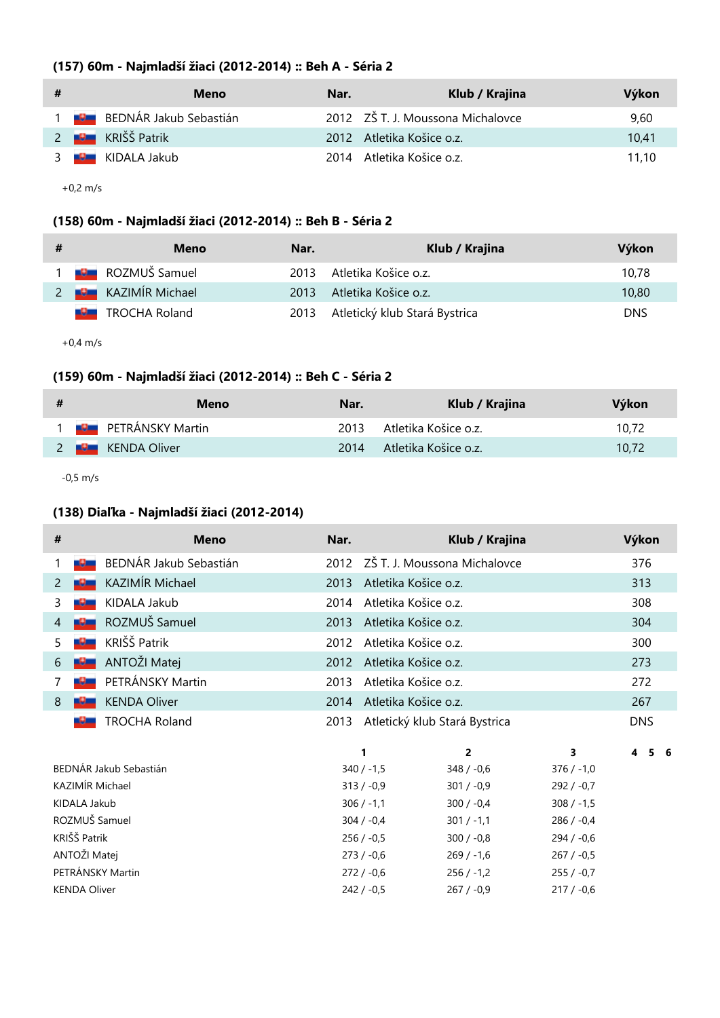# **(157) 60m - Najmladší žiaci (2012-2014) :: Beh A - Séria 2**

| # | Meno                            | Nar. | Klub / Krajina                    | Výkon |
|---|---------------------------------|------|-----------------------------------|-------|
|   | 1 <b>BEDNÁR Jakub Sebastián</b> |      | 2012 ZŠ T. J. Moussona Michalovce | 9.60  |
|   | 2 <b>U</b> KRIŠŠ Patrik         |      | 2012 Atletika Košice o.z.         | 10.41 |
|   | 3 <b>U</b> KIDALA Jakub         |      | 2014 Atletika Košice o.z.         | 11.10 |

+0,2 m/s

# **(158) 60m - Najmladší žiaci (2012-2014) :: Beh B - Séria 2**

| # | Meno                        | Nar. | Klub / Krajina                     | Výkon      |
|---|-----------------------------|------|------------------------------------|------------|
|   | 1 <b>Juli</b> ROZMUŠ Samuel | 2013 | Atletika Košice o.z.               | 10.78      |
|   | 2 <b>B</b> KAZIMÍR Michael  | 2013 | Atletika Košice o.z.               | 10,80      |
|   | <b>B</b> TROCHA Roland      |      | 2013 Atletický klub Stará Bystrica | <b>DNS</b> |

+0,4 m/s

# **(159) 60m - Najmladší žiaci (2012-2014) :: Beh C - Séria 2**

| # | Meno                       | Nar. | Klub / Krajina            | Výkon |
|---|----------------------------|------|---------------------------|-------|
|   | <b>DE PETRÁNSKY Martin</b> |      | 2013 Atletika Košice o.z. | 10.72 |
|   | 2 <b>B</b> KENDA Oliver    | 2014 | – Atletika Košice o.z.    | 10.72 |

-0,5 m/s

## **(138) Diaľka - Najmladší žiaci (2012-2014)**

| # | <b>Meno</b>            | Nar.         | Klub / Krajina                    | Výkon        |    |
|---|------------------------|--------------|-----------------------------------|--------------|----|
|   | BEDNÁR Jakub Sebastián |              | 2012 ZŠ T. J. Moussona Michalovce | 376          |    |
| 2 | KAZIMÍR Michael        | 2013         | Atletika Košice o.z.              | 313          |    |
| 3 | KIDALA Jakub           | 2014         | Atletika Košice o.z.              | 308          |    |
| 4 | ROZMUŠ Samuel          | 2013         | Atletika Košice o.z.              | 304          |    |
| 5 | KRIŠŠ Patrik           | 2012         | Atletika Košice o.z.              | 300          |    |
| 6 | ANTOŽI Matej           | 2012         | Atletika Košice o.z.              | 273          |    |
|   | PETRÁNSKY Martin       | 2013         | Atletika Košice o.z.              | 272          |    |
| 8 | <b>KENDA Oliver</b>    | 2014         | Atletika Košice o.z.              | 267          |    |
|   | <b>TROCHA Roland</b>   | 2013         | Atletický klub Stará Bystrica     | <b>DNS</b>   |    |
|   |                        | 1            | $\overline{2}$                    | 3<br>4<br>5. | -6 |
|   | BEDNÁR Jakub Sebastián | $340 / -1,5$ | $348 / -0.6$                      | $376 / -1,0$ |    |
|   | KAZIMÍR Michael        | $313 / -0.9$ | $301 / -0.9$                      | $292 / -0.7$ |    |
|   | KIDALA Jakub           | $306 / -1,1$ | $300 / -0.4$                      | $308 / -1,5$ |    |
|   | ROZMUŠ Samuel          | $304 / -0.4$ | $301 / -1,1$                      | $286 / -0.4$ |    |
|   | KRIŠŠ Patrik           | $256 / -0.5$ | $300 / -0.8$                      | $294 / -0.6$ |    |

ANTOŽI Matej 273 / -0,6 269 / -1,6 267 / -0,5 PETRÁNSKY Martin 272 / -0,6 256 / -1,2 255 / -0,7 KENDA Oliver 242 / -0,5 267 / -0,9 217 / -0,6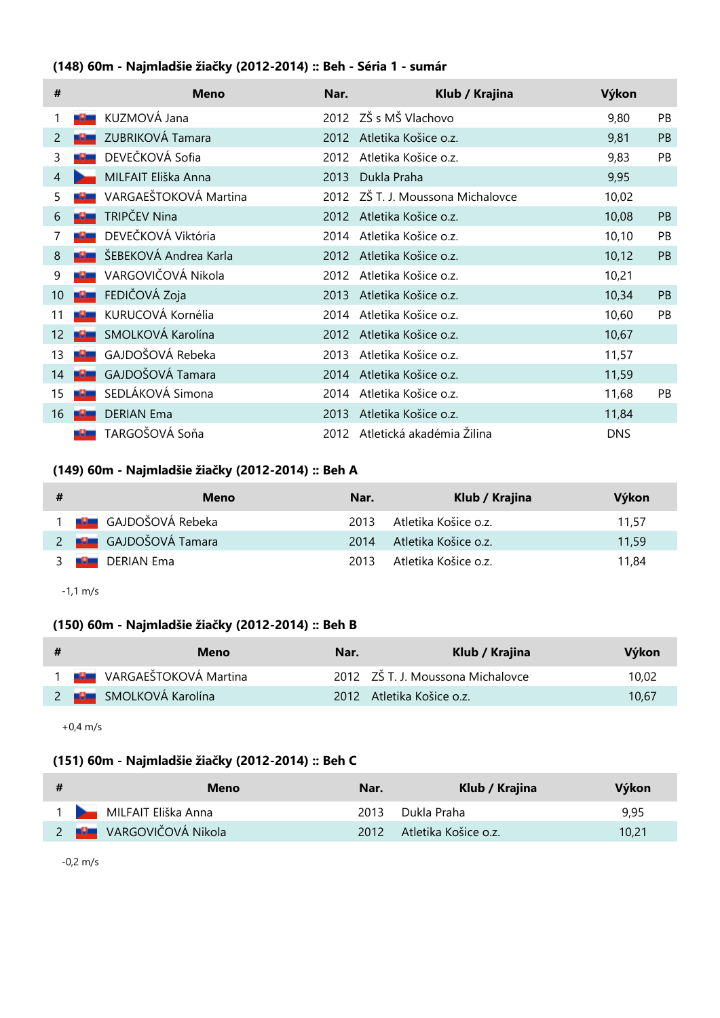# **(148) 60m - Najmladšie žiačky (2012-2014) :: Beh - Séria 1 - sumár**

| #              |     | <b>Meno</b>           | Nar. | Klub / Krajina                 | Výkon      |                |
|----------------|-----|-----------------------|------|--------------------------------|------------|----------------|
|                |     | KUZMOVÁ Jana          |      | 2012 ZŠ s MŠ Vlachovo          | 9,80       | PB             |
| 2              |     | ZUBRIKOVÁ Tamara      | 2012 | Atletika Košice o.z.           | 9,81       | PB             |
| 3              |     | DEVEČKOVÁ Sofia       | 2012 | Atletika Košice o.z.           | 9,83       | PB.            |
| $\overline{4}$ |     | MILFAIT Eliška Anna   | 2013 | Dukla Praha                    | 9,95       |                |
| 5              |     | VARGAEŠTOKOVÁ Martina | 2012 | ZŠ T. J. Moussona Michalovce   | 10,02      |                |
| 6              |     | TRIPČEV Nina          | 2012 | Atletika Košice o.z.           | 10,08      | <b>PB</b>      |
|                |     | DEVEČKOVÁ Viktória    | 2014 | Atletika Košice o.z.           | 10, 10     | PB             |
| 8              |     | ŠEBEKOVÁ Andrea Karla | 2012 | Atletika Košice o.z.           | 10,12      | <b>PB</b>      |
| 9              |     | VARGOVIČOVÁ Nikola    | 2012 | Atletika Košice o.z.           | 10,21      |                |
| 10             | -9- | FEDIČOVÁ Zoja         | 2013 | Atletika Košice o.z.           | 10,34      | P <sub>B</sub> |
| 11             |     | KURUCOVÁ Kornélia     | 2014 | Atletika Košice o.z.           | 10,60      | PB.            |
| 12             |     | SMOLKOVÁ Karolína     | 2012 | Atletika Košice o.z.           | 10,67      |                |
| 13             |     | GAJDOŠOVÁ Rebeka      | 2013 | Atletika Košice o.z.           | 11,57      |                |
| 14             |     | GAJDOŠOVÁ Tamara      | 2014 | Atletika Košice o.z.           | 11,59      |                |
| 15             |     | SEDLÁKOVÁ Simona      | 2014 | Atletika Košice o.z.           | 11,68      | PB             |
| 16             |     | <b>DERIAN Ema</b>     | 2013 | Atletika Košice o.z.           | 11,84      |                |
|                |     | TARGOŠOVÁ Soňa        |      | 2012 Atletická akadémia Žilina | <b>DNS</b> |                |

# **(149) 60m - Najmladšie žiačky (2012-2014) :: Beh A**

| # | Meno                            | Nar. | Klub / Krajina              | Výkon |
|---|---------------------------------|------|-----------------------------|-------|
|   | 1 <b>B</b> GAJDOŠOVÁ Rebeka     |      | 2013 – Atletika Košice o.z. | 11.57 |
|   | 2 <b>Poula</b> GAJDOŠOVÁ Tamara | 2014 | Atletika Košice o.z.        | 11.59 |
|   | 3 <b>B</b> DERIAN Ema           | 2013 | Atletika Košice o.z.        | 11.84 |

-1,1 m/s

# **(150) 60m - Najmladšie žiačky (2012-2014) :: Beh B**

| -# | Meno                                | Nar. | Klub / Krajina                    | Výkon |
|----|-------------------------------------|------|-----------------------------------|-------|
|    | 1 <b>Jest</b> VARGAEŠTOKOVÁ Martina |      | 2012 ZŠ T. J. Moussona Michalovce | 10.02 |
|    | 2 <b>Pould SMOLKOVÁ Karolína</b>    |      | 2012 Atletika Košice o.z.         | 10.67 |

+0,4 m/s

#### **(151) 60m - Najmladšie žiačky (2012-2014) :: Beh C**

| -# | Meno                                 | Nar. | Klub / Krajina            | Výkon |
|----|--------------------------------------|------|---------------------------|-------|
|    | 1 MILFAIT Eliška Anna                |      | 2013 Dukla Praha          | 9.95  |
|    | 2 <b>Politika NARGOVIČOVÁ Nikola</b> |      | 2012 Atletika Košice o.z. | 10,21 |

-0,2 m/s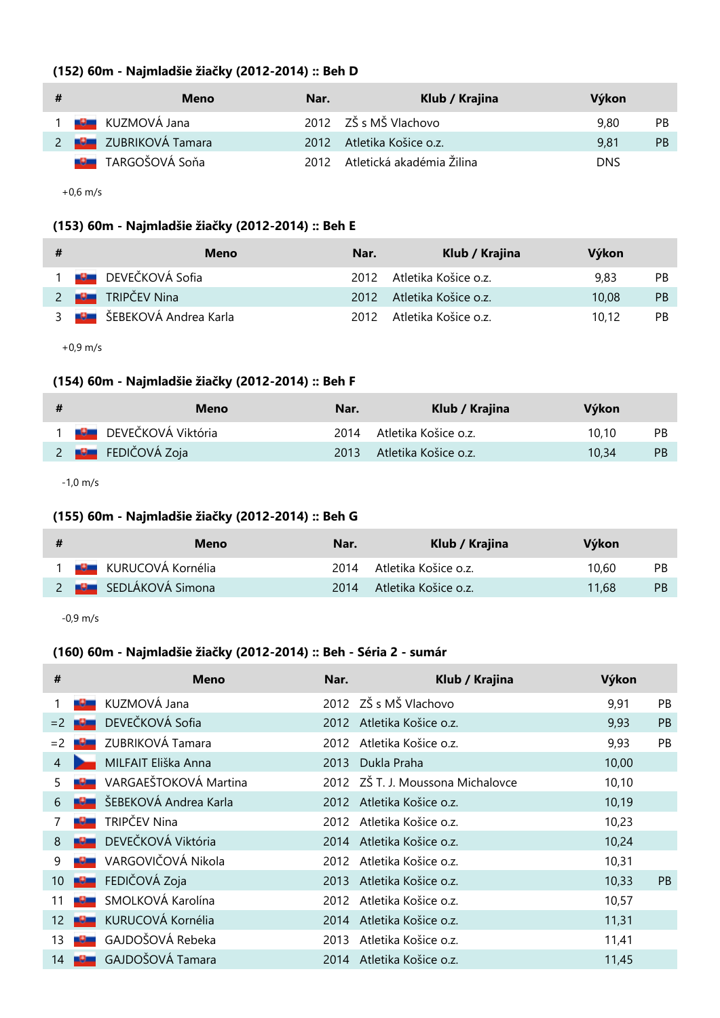| (152) 60m - Najmladšie žiačky (2012-2014) :: Beh D |  |  |  |
|----------------------------------------------------|--|--|--|
|----------------------------------------------------|--|--|--|

| # | Meno                             | Nar. | Klub / Krajina                 | Výkon      |     |
|---|----------------------------------|------|--------------------------------|------------|-----|
|   | 1 <b>B</b> KUZMOVÁ Jana          |      | 2012 ZŠ s MŠ Vlachovo          | 9.80       | PB. |
|   | 2 <b>Bullet</b> ZUBRIKOVÁ Tamara |      | 2012 Atletika Košice o.z.      | 9.81       | PB. |
|   | <b>B</b> TARGOŠOVÁ Soňa          |      | 2012 Atletická akadémia Žilina | <b>DNS</b> |     |

+0,6 m/s

# **(153) 60m - Najmladšie žiačky (2012-2014) :: Beh E**

| # | Meno                              | Nar. | Klub / Krajina            | Výkon |           |
|---|-----------------------------------|------|---------------------------|-------|-----------|
|   | <b>DEVEČKOVÁ Sofia</b>            |      | 2012 Atletika Košice o.z. | 9.83  | <b>PB</b> |
|   | TRIPČEV Nina<br>$2 - 1$           |      | 2012 Atletika Košice o.z. | 10.08 | <b>PB</b> |
|   | 3 <b>BU ŠEBEKOVÁ Andrea Karla</b> |      | 2012 Atletika Košice o.z. | 10.12 | PB        |

+0,9 m/s

# **(154) 60m - Najmladšie žiačky (2012-2014) :: Beh F**

| # | Meno                          | Nar. | Klub / Krajina            | Výkon |           |
|---|-------------------------------|------|---------------------------|-------|-----------|
|   | 1 <b>B</b> DEVEČKOVÁ Viktória |      | 2014 Atletika Košice o.z. | 10.10 | <b>PB</b> |
|   | 2 <b>Po</b> FEDIČOVÁ Zoja     |      | 2013 Atletika Košice o.z. | 10.34 | -PB       |

-1,0 m/s

# **(155) 60m - Najmladšie žiačky (2012-2014) :: Beh G**

| -# | Meno                           | Nar. | Klub / Krajina            | Výkon              |
|----|--------------------------------|------|---------------------------|--------------------|
|    | 1 <b>Jan</b> KURUCOVÁ Kornélia |      | 2014 Atletika Košice o.z. | 10.60<br><b>PB</b> |
|    | 2 <b>BEZ</b> SEDLÁKOVÁ Simona  |      | 2014 Atletika Košice o.z. | <b>PB</b><br>11.68 |

-0,9 m/s

# **(160) 60m - Najmladšie žiačky (2012-2014) :: Beh - Séria 2 - sumár**

| #    |                                                                                                                     | <b>Meno</b>           | Nar. | Klub / Krajina                    | Výkon  |           |
|------|---------------------------------------------------------------------------------------------------------------------|-----------------------|------|-----------------------------------|--------|-----------|
|      |                                                                                                                     | KUZMOVÁ Jana          |      | 2012 ZŠ s MŠ Vlachovo             | 9,91   | PB.       |
| $=2$ |                                                                                                                     | DEVEČKOVÁ Sofia       | 2012 | Atletika Košice o.z.              | 9,93   | <b>PB</b> |
| $=2$ |                                                                                                                     | ZUBRIKOVÁ Tamara      | 2012 | Atletika Košice o.z.              | 9,93   | PB        |
| 4    |                                                                                                                     | MILFAIT Eliška Anna   | 2013 | Dukla Praha                       | 10,00  |           |
| 5    |                                                                                                                     | VARGAEŠTOKOVÁ Martina |      | 2012 ZŠ T. J. Moussona Michalovce | 10, 10 |           |
| 6    | <u> 19 mi</u>                                                                                                       | ŠEBEKOVÁ Andrea Karla |      | 2012 Atletika Košice o.z.         | 10,19  |           |
|      | -9-                                                                                                                 | TRIPČEV Nina          | 2012 | Atletika Košice o.z.              | 10,23  |           |
| 8    |                                                                                                                     | DEVEČKOVÁ Viktória    |      | 2014 Atletika Košice o.z.         | 10,24  |           |
| 9    |                                                                                                                     | VARGOVIČOVÁ Nikola    | 2012 | Atletika Košice o.z.              | 10,31  |           |
| 10   |                                                                                                                     | FEDIČOVÁ Zoja         | 2013 | Atletika Košice o.z.              | 10,33  | <b>PB</b> |
| 11   |                                                                                                                     | SMOLKOVÁ Karolína     | 2012 | Atletika Košice o.z.              | 10,57  |           |
| 12   | <u> 1900 - 1911 - 1911 - 1911 - 1911 - 1911 - 1911 - 1911 - 1911 - 1911 - 1911 - 1911 - 1911 - 1911 - 1911 - 19</u> | KURUCOVÁ Kornélia     | 2014 | Atletika Košice o.z.              | 11,31  |           |
| 13   |                                                                                                                     | GAJDOŠOVÁ Rebeka      | 2013 | Atletika Košice o.z.              | 11,41  |           |
| 14   |                                                                                                                     | GAJDOŠOVÁ Tamara      | 2014 | Atletika Košice o.z.              | 11,45  |           |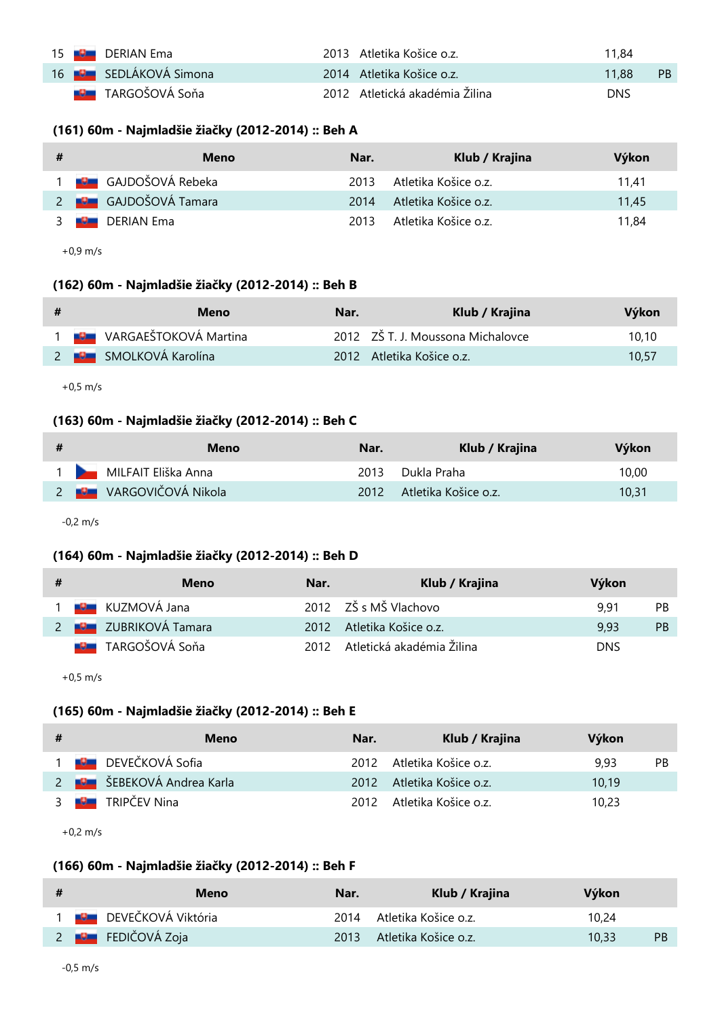|  | 15 <b>Bulle</b> DERIAN Ema    | 2013 Atletika Košice o.z.      | 11.84 |      |
|--|-------------------------------|--------------------------------|-------|------|
|  | 16 <b>BL</b> SEDLÁKOVÁ Simona | 2014 Atletika Košice o.z.      | 11.88 | - PB |
|  | <b>DE</b> TARGOŠOVÁ Soňa      | 2012 Atletická akadémia Žilina | DNS   |      |

### **(161) 60m - Najmladšie žiačky (2012-2014) :: Beh A**

| # | Meno                         | Nar. | Klub / Krajina         | Výkon |
|---|------------------------------|------|------------------------|-------|
|   | 1 <b>B</b> GAJDOŠOVÁ Rebeka  | 2013 | - Atletika Košice o.z. | 11.41 |
|   | 2 <b>BE</b> GAJDOŠOVÁ Tamara | 2014 | Atletika Košice o.z.   | 11.45 |
|   | 3 <b>B</b> DERIAN Ema        | 2013 | Atletika Košice o.z.   | 11.84 |

+0,9 m/s

### **(162) 60m - Najmladšie žiačky (2012-2014) :: Beh B**

| # | Meno                                | Nar. | Klub / Krajina                    | Výkon |
|---|-------------------------------------|------|-----------------------------------|-------|
|   | 1 <b>Jest</b> VARGAEŠTOKOVÁ Martina |      | 2012 ZŠ T. J. Moussona Michalovce | 10.10 |
|   | 2 <b>B</b> SMOLKOVÁ Karolína        |      | 2012 Atletika Košice o.z.         | 10.57 |

+0,5 m/s

# **(163) 60m - Najmladšie žiačky (2012-2014) :: Beh C**

| # | Meno                                 | Nar. | Klub / Krajina            | Výkon |
|---|--------------------------------------|------|---------------------------|-------|
|   | 1 MILFAIT Eliška Anna                |      | 2013 Dukla Praha          | 10.00 |
|   | 2 <b>Politika NARGOVIČOVÁ Nikola</b> |      | 2012 Atletika Košice o.z. | 10.31 |

-0,2 m/s

### **(164) 60m - Najmladšie žiačky (2012-2014) :: Beh D**

| # | Meno                         | Nar. | Klub / Krajina                 | Výkon      |           |
|---|------------------------------|------|--------------------------------|------------|-----------|
|   | 1 <b>U KUZMOVÁ Jana</b>      |      | 2012 ZŠ s MŠ Vlachovo          | 9.91       | <b>PB</b> |
|   | 2 <b>By</b> ZUBRIKOVÁ Tamara |      | 2012 Atletika Košice o.z.      | 9.93       | <b>PB</b> |
|   | <b>EU TARGOŠOVÁ Soňa</b>     |      | 2012 Atletická akadémia Žilina | <b>DNS</b> |           |

+0,5 m/s

# **(165) 60m - Najmladšie žiačky (2012-2014) :: Beh E**

| # | Meno                              | Nar. | Klub / Krajina            | Výkon |    |
|---|-----------------------------------|------|---------------------------|-------|----|
|   | 1 <b>BE</b> DEVEČKOVÁ Sofia       |      | 2012 Atletika Košice o.z. | 9.93  | РB |
|   | 2 <b>BU ŠEBEKOVÁ Andrea Karla</b> |      | 2012 Atletika Košice o.z. | 10.19 |    |
|   | 3 <b>B</b> TRIPČEV Nina           |      | 2012 Atletika Košice o.z. | 10.23 |    |

+0,2 m/s

# **(166) 60m - Najmladšie žiačky (2012-2014) :: Beh F**

| # | Meno                          | Nar. | Klub / Krajina            | Výkon |           |
|---|-------------------------------|------|---------------------------|-------|-----------|
|   | 1 <b>B</b> DEVEČKOVÁ Viktória |      | 2014 Atletika Košice o.z. | 10.24 |           |
|   | 2 <b>Pozr</b> FEDIČOVÁ Zoja   |      | 2013 Atletika Košice o.z. | 10.33 | <b>PB</b> |